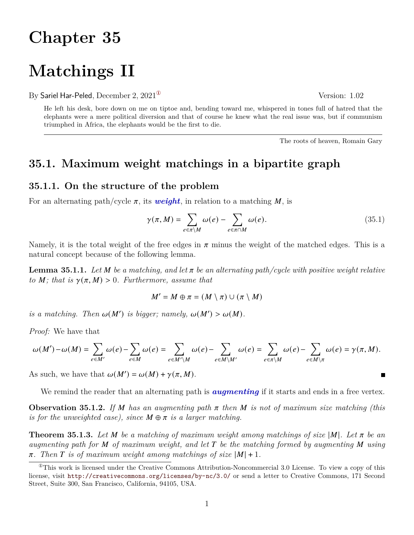# **Chapter 35**

# **Matchings II**

By Sariel Har-Peled, December 2,  $2021^{\circ}$  Version: 1.02

He left his desk, bore down on me on tiptoe and, bending toward me, whispered in tones full of hatred that the elephants were a mere political diversion and that of course he knew what the real issue was, but if communism triumphed in Africa, the elephants would be the first to die.

<span id="page-0-1"></span>The roots of heaven, Romain Gary

### **35.1. Maximum weight matchings in a bipartite graph**

### **35.1.1. On the structure of the problem**

For an alternating path/cycle  $\pi$ , its *weight*, in relation to a matching M, is

$$
\gamma(\pi, M) = \sum_{e \in \pi \backslash M} \omega(e) - \sum_{e \in \pi \cap M} \omega(e).
$$
\n(35.1)

Namely, it is the total weight of the free edges in  $\pi$  minus the weight of the matched edges. This is a natural concept because of the following lemma.

**Lemma 35.1.1.** Let  $M$  be a matching, and let  $\pi$  be an alternating path/cycle with positive weight relative *to M*; that is  $\gamma(\pi, M) > 0$ . Furthermore, assume that

$$
M'=M\oplus \pi=(M\setminus \pi)\cup (\pi\setminus M)
$$

*is a matching. Then*  $\omega(M')$  *is bigger; namely,*  $\omega(M') > \omega(M)$ *.* 

*Proof:* We have that

$$
\omega(M')-\omega(M)=\sum_{e\in M'}\omega(e)-\sum_{e\in M}\omega(e)=\sum_{e\in M'\backslash M}\omega(e)-\sum_{e\in M\backslash M'}\omega(e)=\sum_{e\in \pi\backslash M}\omega(e)-\sum_{e\in M\backslash \pi}\omega(e)=\gamma(\pi,M).
$$

As such, we have that  $\omega(M') = \omega(M) + \gamma(\pi, M)$ .

We remind the reader that an alternating path is *augmenting* if it starts and ends in a free vertex.

**Observation 35.1.2.** If M has an augmenting path  $\pi$  then M is not of maximum size matching (this *is for the unweighted case), since*  $M \oplus \pi$  *is a larger matching.* 

**Theorem 35.1.3.** Let M be a matching of maximum weight among matchings of size  $|M|$ . Let  $\pi$  be an *augmenting path for of maximum weight, and let be the matching formed by augmenting using*  $\pi$ . Then *T* is of maximum weight among matchings of size  $|M| + 1$ .

 $\blacksquare$ 

<span id="page-0-0"></span> ${}^{\circ}$ This work is licensed under the Creative Commons Attribution-Noncommercial 3.0 License. To view a copy of this license, visit <http://creativecommons.org/licenses/by-nc/3.0/> or send a letter to Creative Commons, 171 Second Street, Suite 300, San Francisco, California, 94105, USA.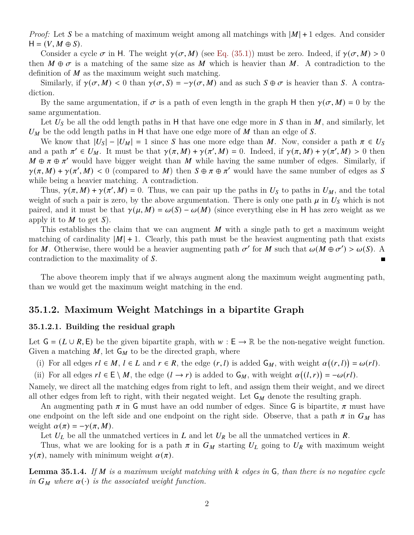*Proof:* Let S be a matching of maximum weight among all matchings with  $|M| + 1$  edges. And consider  $H = (V, M \oplus S).$ 

Consider a cycle  $\sigma$  in H. The weight  $\gamma(\sigma, M)$  (see [Eq. \(35.1\)\)](#page-0-1) must be zero. Indeed, if  $\gamma(\sigma, M) > 0$ then  $M \oplus \sigma$  is a matching of the same size as M which is heavier than M. A contradiction to the definition of  $M$  as the maximum weight such matching.

Similarly, if  $\gamma(\sigma, M) < 0$  than  $\gamma(\sigma, S) = -\gamma(\sigma, M)$  and as such  $S \oplus \sigma$  is heavier than S. A contradiction.

By the same argumentation, if  $\sigma$  is a path of even length in the graph H then  $\gamma(\sigma, M) = 0$  by the same argumentation.

Let  $U<sub>S</sub>$  be all the odd length paths in H that have one edge more in S than in M, and similarly, let  $U_M$  be the odd length paths in H that have one edge more of M than an edge of S.

We know that  $|U_s| - |U_M| = 1$  since S has one more edge than M. Now, consider a path  $\pi \in U_s$ and a path  $\pi' \in U_M$ . It must be that  $\gamma(\pi, M) + \gamma(\pi', M) = 0$ . Indeed, if  $\gamma(\pi, M) + \gamma(\pi', M) > 0$  then  $M \oplus \pi \oplus \pi'$  would have bigger weight than M while having the same number of edges. Similarly, if  $\gamma(\pi, M) + \gamma(\pi', M) < 0$  (compared to M) then  $S \oplus \pi \oplus \pi'$  would have the same number of edges as S while being a heavier matching. A contradiction.

Thus,  $\gamma(\pi, M) + \gamma(\pi', M) = 0$ . Thus, we can pair up the paths in  $U_s$  to paths in  $U_M$ , and the total weight of such a pair is zero, by the above argumentation. There is only one path  $\mu$  in  $U_s$  which is not paired, and it must be that  $\gamma(\mu, M) = \omega(S) - \omega(M)$  (since everything else in H has zero weight as we apply it to  $M$  to get  $S$ ).

This establishes the claim that we can augment  $M$  with a single path to get a maximum weight matching of cardinality  $|M| + 1$ . Clearly, this path must be the heaviest augmenting path that exists for M. Otherwise, there would be a heavier augmenting path  $\sigma'$  for M such that  $\omega(M \oplus \sigma') > \omega(S)$ . A contradiction to the maximality of S.  $\blacksquare$ 

The above theorem imply that if we always augment along the maximum weight augmenting path, than we would get the maximum weight matching in the end.

### **35.1.2. Maximum Weight Matchings in a bipartite Graph**

#### **35.1.2.1. Building the residual graph**

Let  $G = (L \cup R, E)$  be the given bipartite graph, with  $w : E \to \mathbb{R}$  be the non-negative weight function. Given a matching  $M$ , let  $G_M$  to be the directed graph, where

(i) For all edges  $rl \in M$ ,  $l \in L$  and  $r \in R$ , the edge  $(r, l)$  is added  $G_M$ , with weight  $\alpha((r, l)) = \omega(rl)$ .

(ii) For all edges  $rl \in E \setminus M$ , the edge  $(l \to r)$  is added to  $G_M$ , with weight  $\alpha((l, r)) = -\omega(rl)$ .

Namely, we direct all the matching edges from right to left, and assign them their weight, and we direct all other edges from left to right, with their negated weight. Let  $G_M$  denote the resulting graph.

An augmenting path  $\pi$  in G must have an odd number of edges. Since G is bipartite,  $\pi$  must have one endpoint on the left side and one endpoint on the right side. Observe, that a path  $\pi$  in  $G_M$  has weight  $\alpha(\pi) = -\gamma(\pi, M)$ .

Let  $U_L$  be all the unmatched vertices in  $L$  and let  $U_R$  be all the unmatched vertices in  $R$ .

Thus, what we are looking for is a path  $\pi$  in  $G_M$  starting  $U_L$  going to  $U_R$  with maximum weight  $\gamma(\pi)$ , namely with minimum weight  $\alpha(\pi)$ .

**Lemma 35.1.4.** *If is a maximum weight matching with edges in* G*, than there is no negative cycle in*  $G_M$  where  $\alpha(\cdot)$  *is the associated weight function.*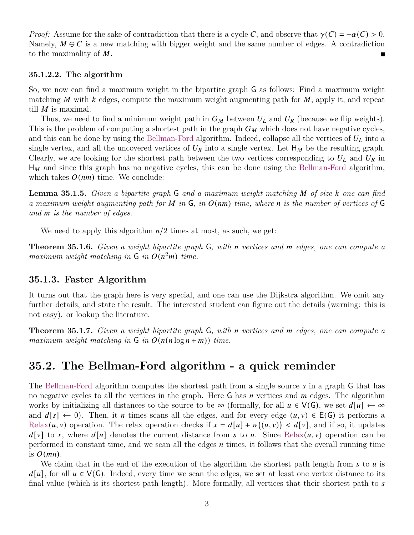*Proof:* Assume for the sake of contradiction that there is a cycle C, and observe that  $\gamma(C) = -\alpha(C) > 0$ . Namely,  $M \oplus C$  is a new matching with bigger weight and the same number of edges. A contradiction to the maximality of  $M$ .

#### **35.1.2.2. The algorithm**

So, we now can find a maximum weight in the bipartite graph G as follows: Find a maximum weight matching M with  $k$  edges, compute the maximum weight augmenting path for  $M$ , apply it, and repeat till  $M$  is maximal.

Thus, we need to find a minimum weight path in  $G_M$  between  $U_L$  and  $U_R$  (because we flip weights). This is the problem of computing a shortest path in the graph  $G_M$  which does not have negative cycles, and this can be done by using the Bellman-Ford algorithm. Indeed, collapse all the vertices of  $U_L$  into a single vertex, and all the uncovered vertices of  $U_R$  into a single vertex. Let  $H_M$  be the resulting graph. Clearly, we are looking for the shortest path between the two vertices corresponding to  $U_L$  and  $U_R$  in  $H_M$  and since this graph has no negative cycles, this can be done using the Bellman-Ford algorithm, which takes  $O(nm)$  time. We conclude:

**Lemma 35.1.5.** *Given a bipartite graph* G *and a maximum weight matching* M of size k one can find *a maximum weight augmenting path for in* G*, in* () *time, where is the number of vertices of* G *and is the number of edges.*

We need to apply this algorithm  $n/2$  times at most, as such, we get:

**Theorem 35.1.6.** *Given a weight bipartite graph*  $\mathsf{G}$ *, with* n vertices and m edges, one can compute a *maximum weight matching in*  $\mathsf{G}$  *in*  $O(n^2m)$  *time.* 

### **35.1.3. Faster Algorithm**

It turns out that the graph here is very special, and one can use the Dijkstra algorithm. We omit any further details, and state the result. The interested student can figure out the details (warning: this is not easy). or lookup the literature.

**Theorem 35.1.7.** *Given a weight bipartite graph*  $\mathsf{G}$ *, with* n vertices and m edges, one can compute a *maximum weight matching in*  $\mathsf{G}$  *in*  $O(n(n \log n + m))$  *time.* 

### **35.2. The Bellman-Ford algorithm - a quick reminder**

The Bellman-Ford algorithm computes the shortest path from a single source  $s$  in a graph  $\mathsf G$  that has no negative cycles to all the vertices in the graph. Here  $\overline{G}$  has *n* vertices and *m* edges. The algorithm works by initializing all distances to the source to be  $\infty$  (formally, for all  $u \in V(G)$ , we set  $d[u] \leftarrow \infty$ and  $d[s] \leftarrow 0$ . Then, it *n* times scans all the edges, and for every edge  $(u, v) \in E(G)$  it performs a Relax $(u, v)$  operation. The relax operation checks if  $x = d[u] + w(u, v) < d[v]$ , and if so, it updates  $d[v]$  to x, where  $d[u]$  denotes the current distance from s to u. Since Relax $(u, v)$  operation can be performed in constant time, and we scan all the edges  $n$  times, it follows that the overall running time is  $O(mn)$ .

We claim that in the end of the execution of the algorithm the shortest path length from  $s$  to  $u$  is  $d[u]$ , for all  $u \in V(G)$ . Indeed, every time we scan the edges, we set at least one vertex distance to its final value (which is its shortest path length). More formally, all vertices that their shortest path to  $s$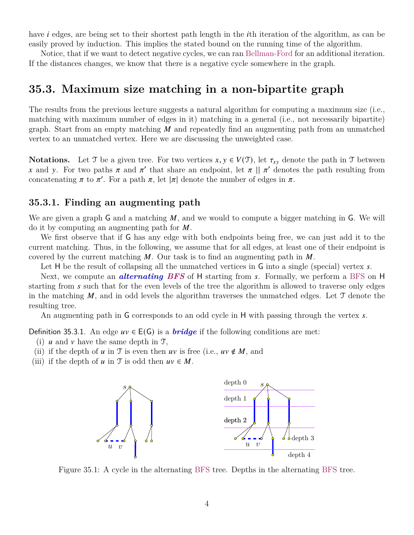have *i* edges, are being set to their shortest path length in the *i*th iteration of the algorithm, as can be easily proved by induction. This implies the stated bound on the running time of the algorithm.

Notice, that if we want to detect negative cycles, we can ran Bellman-Ford for an additional iteration. If the distances changes, we know that there is a negative cycle somewhere in the graph.

### **35.3. Maximum size matching in a non-bipartite graph**

The results from the previous lecture suggests a natural algorithm for computing a maximum size (i.e., matching with maximum number of edges in it) matching in a general (i.e., not necessarily bipartite) graph. Start from an empty matching  $M$  and repeatedly find an augmenting path from an unmatched vertex to an unmatched vertex. Here we are discussing the unweighted case.

**Notations.** Let T be a given tree. For two vertices  $x, y \in V(T)$ , let  $\tau_{xy}$  denote the path in T between x and y. For two paths  $\pi$  and  $\pi'$  that share an endpoint, let  $\pi$  ||  $\pi'$  denotes the path resulting from concatenating  $\pi$  to  $\pi'$ . For a path  $\pi$ , let  $|\pi|$  denote the number of edges in  $\pi$ .

### **35.3.1. Finding an augmenting path**

We are given a graph G and a matching  $M$ , and we would to compute a bigger matching in G. We will do it by computing an augmenting path for  $M$ .

We first observe that if G has any edge with both endpoints being free, we can just add it to the current matching. Thus, in the following, we assume that for all edges, at least one of their endpoint is covered by the current matching  $M$ . Our task is to find an augmenting path in  $M$ .

Let H be the result of collapsing all the unmatched vertices in  $G$  into a single (special) vertex  $s$ .

Next, we compute an *alternating BFS* of H starting from s. Formally, we perform a BFS on H starting from  $s$  such that for the even levels of the tree the algorithm is allowed to traverse only edges in the matching  $M$ , and in odd levels the algorithm traverses the unmatched edges. Let  $\mathcal T$  denote the resulting tree.

An augmenting path in G corresponds to an odd cycle in H with passing through the vertex s.

Definition 35.3.1. An edge  $uv \in E(G)$  is a *bridge* if the following conditions are met:

- (i)  $u$  and  $v$  have the same depth in  $\mathcal{T}$ ,
- (ii) if the depth of  $u$  in  $\mathcal T$  is even then  $uv$  is free (i.e.,  $uv \notin M$ , and
- <span id="page-3-0"></span>(iii) if the depth of  $u$  in  $\mathcal T$  is odd then  $uv \in M$ .



Figure 35.1: A cycle in the alternating BFS tree. Depths in the alternating BFS tree.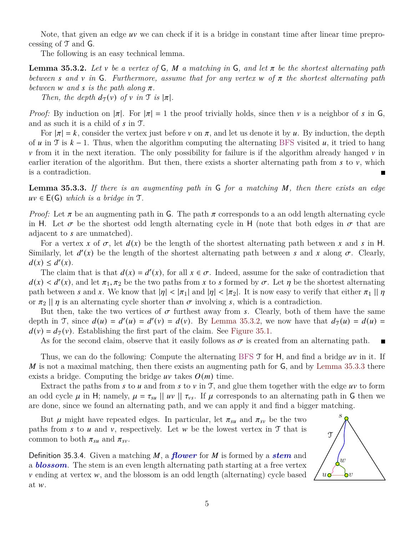Note, that given an edge  $uv$  we can check if it is a bridge in constant time after linear time preprocessing of  $\mathcal T$  and  $\mathcal G$ .

<span id="page-4-0"></span>The following is an easy technical lemma.

**Lemma 35.3.2.** Let v be a vertex of G, M a matching in G, and let  $\pi$  be the shortest alternating path *between* s and v in G. Furthermore, assume that for any vertex w of  $\pi$  the shortest alternating path *between*  $w$  *and*  $s$  *is the path along*  $\pi$ .

*Then, the depth*  $d_{\mathcal{T}}(v)$  *of*  $v$  *in*  $\mathcal{T}$  *is*  $|\pi|$ *.* 

*Proof:* By induction on  $|\pi|$ . For  $|\pi| = 1$  the proof trivially holds, since then v is a neighbor of s in G, and as such it is a child of  $s$  in  $\mathcal{T}$ .

For  $|\pi| = k$ , consider the vertex just before v on  $\pi$ , and let us denote it by u. By induction, the depth of u in T is  $k - 1$ . Thus, when the algorithm computing the alternating BFS visited u, it tried to hang  $\nu$  from it in the next iteration. The only possibility for failure is if the algorithm already hanged  $\nu$  in earlier iteration of the algorithm. But then, there exists a shorter alternating path from  $s$  to  $v$ , which is a contradiction.

<span id="page-4-1"></span>**Lemma 35.3.3.** If there is an augmenting path in G for a matching M, then there exists an edge  $uv \in E(G)$  *which is a bridge in*  $\mathcal{T}$ .

*Proof:* Let  $\pi$  be an augmenting path in G. The path  $\pi$  corresponds to a an odd length alternating cycle in H. Let  $\sigma$  be the shortest odd length alternating cycle in H (note that both edges in  $\sigma$  that are adjacent to s are unmatched.

For a vertex x of  $\sigma$ , let  $d(x)$  be the length of the shortest alternating path between x and s in H. Similarly, let  $d'(x)$  be the length of the shortest alternating path between s and x along  $\sigma$ . Clearly,  $d(x) \leq d'(x)$ .

The claim that is that  $d(x) = d'(x)$ , for all  $x \in \sigma$ . Indeed, assume for the sake of contradiction that  $d(x) < d'(x)$ , and let  $\pi_1, \pi_2$  be the two paths from x to s formed by  $\sigma$ . Let  $\eta$  be the shortest alternating path between s and x. We know that  $|\eta| < |\pi_1|$  and  $|\eta| < |\pi_2|$ . It is now easy to verify that either  $\pi_1 || \eta$ or  $\pi_2$  ||  $\eta$  is an alternating cycle shorter than  $\sigma$  involving s, which is a contradiction.

But then, take the two vertices of  $\sigma$  furthest away from s. Clearly, both of them have the same depth in T, since  $d(u) = d'(u) = d(v)$ . By [Lemma 35.3.2,](#page-4-0) we now have that  $d_{\mathcal{T}}(u) = d(u)$  $d(v) = d_{\mathfrak{T}}(v)$ . Establishing the first part of the claim. See [Figure 35.1.](#page-3-0)

As for the second claim, observe that it easily follows as  $\sigma$  is created from an alternating path. П

Thus, we can do the following: Compute the alternating BFS  $\mathcal T$  for H, and find a bridge  $uv$  in it. If M is not a maximal matching, then there exists an augmenting path for  $\mathsf{G}$ , and by [Lemma 35.3.3](#page-4-1) there exists a bridge. Computing the bridge  $uv$  takes  $O(m)$  time.

Extract the paths from  $s$  to  $u$  and from  $s$  to  $v$  in T, and glue them together with the edge  $uv$  to form an odd cycle  $\mu$  in H; namely,  $\mu = \tau_{su} || uv || \tau_{vs}$ . If  $\mu$  corresponds to an alternating path in G then we are done, since we found an alternating path, and we can apply it and find a bigger matching.

But  $\mu$  might have repeated edges. In particular, let  $\pi_{su}$  and  $\pi_{sv}$  be the two paths from s to u and v, respectively. Let w be the lowest vertex in T that is common to both  $\pi_{su}$  and  $\pi_{sv}$ .

Definition 35.3.4. Given a matching M, a *flower* for M is formed by a *stem* and a *blossom*. The stem is an even length alternating path starting at a free vertex  $\nu$  ending at vertex  $\nu$ , and the blossom is an odd length (alternating) cycle based at  $w$ .

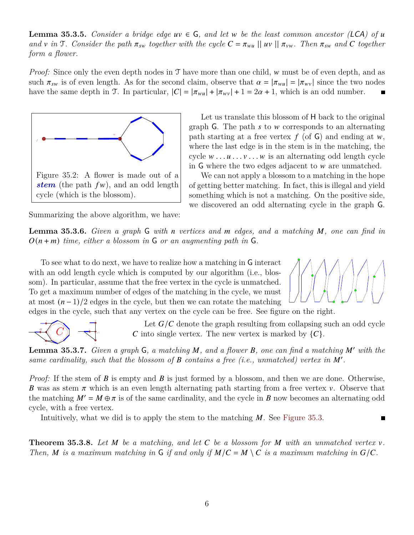**Lemma 35.3.5.** *Consider a bridge edge*  $uv \in G$ *, and let*  $w$  *be the least common ancestor (LCA) of*  $u$ *and*  $\nu$  *in*  $\mathcal{T}$ *. Consider the path*  $\pi_{sw}$  *together with the cycle*  $C = \pi_{wu} || uv || \pi_{vw}$ *. Then*  $\pi_{sw}$  *and*  $C$  *together form a flower.*

*Proof:* Since only the even depth nodes in  $\mathcal T$  have more than one child,  $w$  must be of even depth, and as such  $\pi_{sw}$  is of even length. As for the second claim, observe that  $\alpha = |\pi_{wu}| = |\pi_{wv}|$  since the two nodes have the same depth in T. In particular,  $|C| = |\pi_{wu}| + |\pi_{wv}| + 1 = 2\alpha + 1$ , which is an odd number.



Let us translate this blossom of H back to the original graph G. The path  $s$  to  $w$  corresponds to an alternating path starting at a free vertex  $f$  (of G) and ending at w, where the last edge is in the stem is in the matching, the cycle  $w \dots u \dots v \dots w$  is an alternating odd length cycle in  $G$  where the two edges adjacent to  $w$  are unmatched.

We can not apply a blossom to a matching in the hope of getting better matching. In fact, this is illegal and yield something which is not a matching. On the positive side, we discovered an odd alternating cycle in the graph G.

Summarizing the above algorithm, we have:

**Lemma 35.3.6.** *Given a graph* G *with n vertices and m edges, and a matching M, one can find in*  $O(n + m)$  *time, either a blossom in* G *or an augmenting path in* G.

To see what to do next, we have to realize how a matching in G interact with an odd length cycle which is computed by our algorithm (i.e., blossom). In particular, assume that the free vertex in the cycle is unmatched. To get a maximum number of edges of the matching in the cycle, we must at most  $(n-1)/2$  edges in the cycle, but then we can rotate the matching edges in the cycle, such that any vertex on the cycle can be free. See figure on the right.



Let  $G/C$  denote the graph resulting from collapsing such an odd cycle C into single vertex. The new vertex is marked by  $\{C\}.$ 

**Lemma 35.3.7.** *Given a graph*  $\mathsf{G}$ *, a matching*  $\mathsf{M}$ *, and a flower*  $\mathsf{B}$ *, one can find a matching*  $\mathsf{M}'$  with the same cardinality, such that the blossom of  $B$  contains a free (i.e., unmatched) vertex in  $M'$ .

*Proof:* If the stem of  $\bm{B}$  is empty and  $\bm{B}$  is just formed by a blossom, and then we are done. Otherwise, **B** was as stem  $\pi$  which is an even length alternating path starting from a free vertex v. Observe that the matching  $M' = M \oplus \pi$  is of the same cardinality, and the cycle in B now becomes an alternating odd cycle, with a free vertex.

Intuitively, what we did is to apply the stem to the matching  $M$ . See [Figure 35.3.](#page-6-0)

**Theorem 35.3.8.** Let  $M$  be a matching, and let  $C$  be a blossom for  $M$  with an unmatched vertex  $v$ . *Then,* M is a maximum matching in G if and only if  $M/C = M \setminus C$  is a maximum matching in  $G/C$ .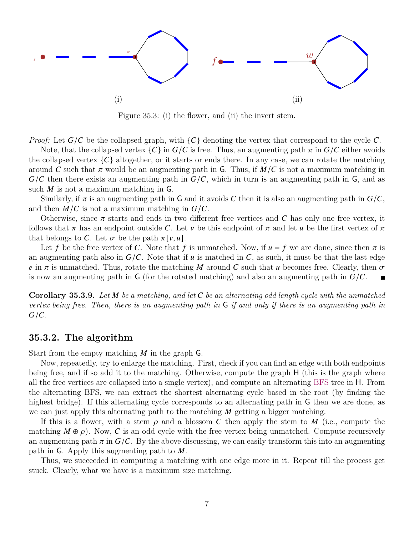<span id="page-6-0"></span>

Figure 35.3: (i) the flower, and (ii) the invert stem.

*Proof:* Let  $G/C$  be the collapsed graph, with  $\{C\}$  denoting the vertex that correspond to the cycle C.

Note, that the collapsed vertex  ${C}$  in  $G/C$  is free. Thus, an augmenting path  $\pi$  in  $G/C$  either avoids the collapsed vertex  ${C}$  altogether, or it starts or ends there. In any case, we can rotate the matching around C such that  $\pi$  would be an augmenting path in G. Thus, if  $M/C$  is not a maximum matching in  $G/C$  then there exists an augmenting path in  $G/C$ , which in turn is an augmenting path in G, and as such  $M$  is not a maximum matching in  $G$ .

Similarly, if  $\pi$  is an augmenting path in G and it avoids C then it is also an augmenting path in  $G/C$ , and then  $M/C$  is not a maximum matching in  $G/C$ .

Otherwise, since  $\pi$  starts and ends in two different free vertices and  $C$  has only one free vertex, it follows that  $\pi$  has an endpoint outside C. Let v be this endpoint of  $\pi$  and let u be the first vertex of  $\pi$ that belongs to C. Let  $\sigma$  be the path  $\pi[v, u]$ .

Let f be the free vertex of C. Note that f is unmatched. Now, if  $u = f$  we are done, since then  $\pi$  is an augmenting path also in  $G/C$ . Note that if  $u$  is matched in C, as such, it must be that the last edge e in  $\pi$  is unmatched. Thus, rotate the matching M around C such that u becomes free. Clearly, then  $\sigma$ is now an augmenting path in G (for the rotated matching) and also an augmenting path in  $G/C$ .

**Corollary 35.3.9.** *Let be a matching, and let be an alternating odd length cycle with the unmatched vertex being free. Then, there is an augmenting path in* G *if and only if there is an augmenting path in*  $G/C$ .

### **35.3.2. The algorithm**

Start from the empty matching  $M$  in the graph  $\mathsf G$ .

Now, repeatedly, try to enlarge the matching. First, check if you can find an edge with both endpoints being free, and if so add it to the matching. Otherwise, compute the graph H (this is the graph where all the free vertices are collapsed into a single vertex), and compute an alternating BFS tree in H. From the alternating BFS, we can extract the shortest alternating cycle based in the root (by finding the highest bridge). If this alternating cycle corresponds to an alternating path in G then we are done, as we can just apply this alternating path to the matching  $M$  getting a bigger matching.

If this is a flower, with a stem  $\rho$  and a blossom C then apply the stem to M (i.e., compute the matching  $M \oplus \rho$ ). Now, C is an odd cycle with the free vertex being unmatched. Compute recursively an augmenting path  $\pi$  in  $G/C$ . By the above discussing, we can easily transform this into an augmenting path in G. Apply this augmenting path to  $M$ .

Thus, we succeeded in computing a matching with one edge more in it. Repeat till the process get stuck. Clearly, what we have is a maximum size matching.